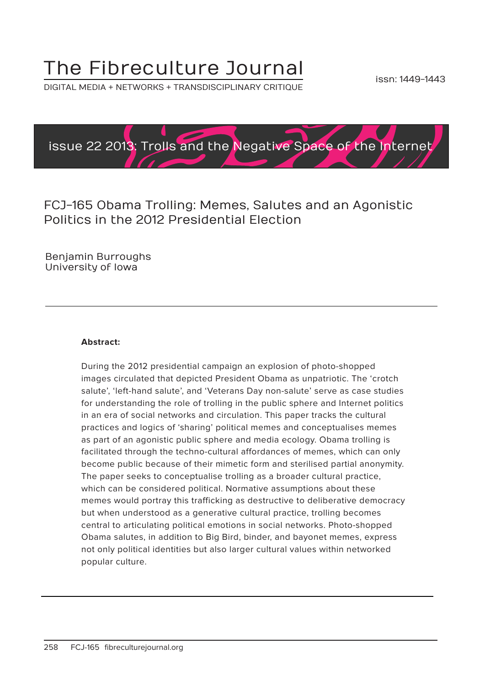# The Fibreculture Journal

DIGITAL MEDIA + NETWORKS + TRANSDISCIPLINARY CRITIQUE



FCJ-165 Obama Trolling: Memes, Salutes and an Agonistic Politics in the 2012 Presidential Election

Benjamin Burroughs University of Iowa

#### **Abstract:**

During the 2012 presidential campaign an explosion of photo-shopped images circulated that depicted President Obama as unpatriotic. The 'crotch salute', 'left-hand salute', and 'Veterans Day non-salute' serve as case studies for understanding the role of trolling in the public sphere and Internet politics in an era of social networks and circulation. This paper tracks the cultural practices and logics of 'sharing' political memes and conceptualises memes as part of an agonistic public sphere and media ecology. Obama trolling is facilitated through the techno-cultural affordances of memes, which can only become public because of their mimetic form and sterilised partial anonymity. The paper seeks to conceptualise trolling as a broader cultural practice, which can be considered political. Normative assumptions about these memes would portray this trafficking as destructive to deliberative democracy but when understood as a generative cultural practice, trolling becomes central to articulating political emotions in social networks. Photo-shopped Obama salutes, in addition to Big Bird, binder, and bayonet memes, express not only political identities but also larger cultural values within networked popular culture.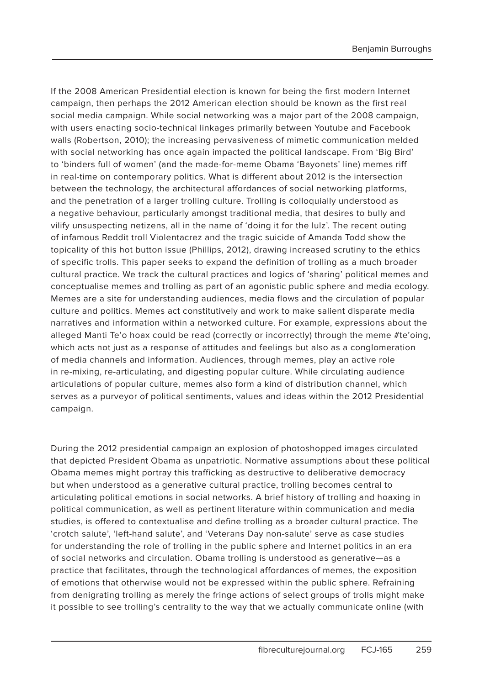If the 2008 American Presidential election is known for being the first modern Internet campaign, then perhaps the 2012 American election should be known as the first real social media campaign. While social networking was a major part of the 2008 campaign, with users enacting socio-technical linkages primarily between Youtube and Facebook walls (Robertson, 2010); the increasing pervasiveness of mimetic communication melded with social networking has once again impacted the political landscape. From 'Big Bird' to 'binders full of women' (and the made-for-meme Obama 'Bayonets' line) memes riff in real-time on contemporary politics. What is different about 2012 is the intersection between the technology, the architectural affordances of social networking platforms, and the penetration of a larger trolling culture. Trolling is colloquially understood as a negative behaviour, particularly amongst traditional media, that desires to bully and vilify unsuspecting netizens, all in the name of 'doing it for the lulz'. The recent outing of infamous Reddit troll Violentacrez and the tragic suicide of Amanda Todd show the topicality of this hot button issue (Phillips, 2012), drawing increased scrutiny to the ethics of specific trolls. This paper seeks to expand the definition of trolling as a much broader cultural practice. We track the cultural practices and logics of 'sharing' political memes and conceptualise memes and trolling as part of an agonistic public sphere and media ecology. Memes are a site for understanding audiences, media flows and the circulation of popular culture and politics. Memes act constitutively and work to make salient disparate media narratives and information within a networked culture. For example, expressions about the alleged Manti Te'o hoax could be read (correctly or incorrectly) through the meme #te'oing, which acts not just as a response of attitudes and feelings but also as a conglomeration of media channels and information. Audiences, through memes, play an active role in re-mixing, re-articulating, and digesting popular culture. While circulating audience articulations of popular culture, memes also form a kind of distribution channel, which serves as a purveyor of political sentiments, values and ideas within the 2012 Presidential campaign.

During the 2012 presidential campaign an explosion of photoshopped images circulated that depicted President Obama as unpatriotic. Normative assumptions about these political Obama memes might portray this trafficking as destructive to deliberative democracy but when understood as a generative cultural practice, trolling becomes central to articulating political emotions in social networks. A brief history of trolling and hoaxing in political communication, as well as pertinent literature within communication and media studies, is offered to contextualise and define trolling as a broader cultural practice. The 'crotch salute', 'left-hand salute', and 'Veterans Day non-salute' serve as case studies for understanding the role of trolling in the public sphere and Internet politics in an era of social networks and circulation. Obama trolling is understood as generative—as a practice that facilitates, through the technological affordances of memes, the exposition of emotions that otherwise would not be expressed within the public sphere. Refraining from denigrating trolling as merely the fringe actions of select groups of trolls might make it possible to see trolling's centrality to the way that we actually communicate online (with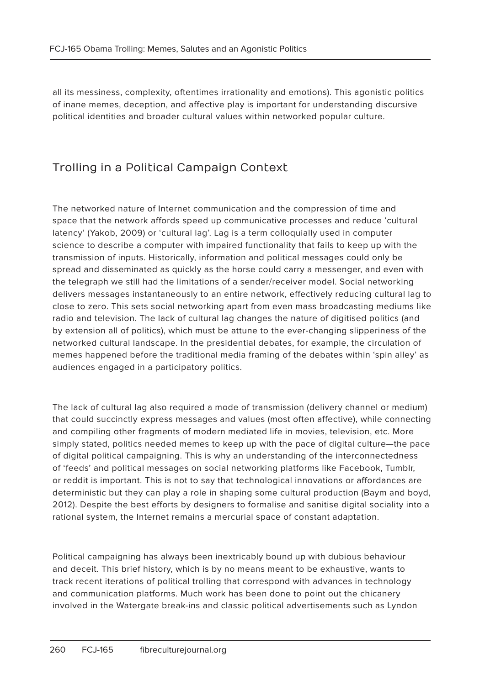all its messiness, complexity, oftentimes irrationality and emotions). This agonistic politics of inane memes, deception, and affective play is important for understanding discursive political identities and broader cultural values within networked popular culture.

# Trolling in a Political Campaign Context

The networked nature of Internet communication and the compression of time and space that the network affords speed up communicative processes and reduce 'cultural latency' (Yakob, 2009) or 'cultural lag'. Lag is a term colloquially used in computer science to describe a computer with impaired functionality that fails to keep up with the transmission of inputs. Historically, information and political messages could only be spread and disseminated as quickly as the horse could carry a messenger, and even with the telegraph we still had the limitations of a sender/receiver model. Social networking delivers messages instantaneously to an entire network, effectively reducing cultural lag to close to zero. This sets social networking apart from even mass broadcasting mediums like radio and television. The lack of cultural lag changes the nature of digitised politics (and by extension all of politics), which must be attune to the ever-changing slipperiness of the networked cultural landscape. In the presidential debates, for example, the circulation of memes happened before the traditional media framing of the debates within 'spin alley' as audiences engaged in a participatory politics.

The lack of cultural lag also required a mode of transmission (delivery channel or medium) that could succinctly express messages and values (most often affective), while connecting and compiling other fragments of modern mediated life in movies, television, etc. More simply stated, politics needed memes to keep up with the pace of digital culture—the pace of digital political campaigning. This is why an understanding of the interconnectedness of 'feeds' and political messages on social networking platforms like Facebook, Tumblr, or reddit is important. This is not to say that technological innovations or affordances are deterministic but they can play a role in shaping some cultural production (Baym and boyd, 2012). Despite the best efforts by designers to formalise and sanitise digital sociality into a rational system, the Internet remains a mercurial space of constant adaptation.

Political campaigning has always been inextricably bound up with dubious behaviour and deceit. This brief history, which is by no means meant to be exhaustive, wants to track recent iterations of political trolling that correspond with advances in technology and communication platforms. Much work has been done to point out the chicanery involved in the Watergate break-ins and classic political advertisements such as Lyndon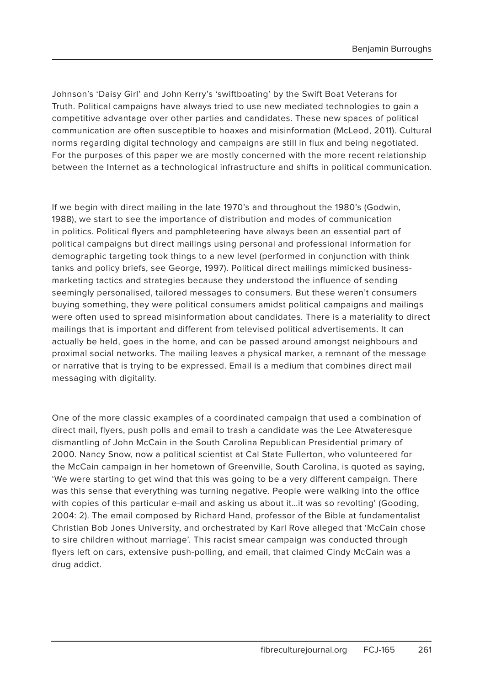Johnson's 'Daisy Girl' and John Kerry's 'swiftboating' by the Swift Boat Veterans for Truth. Political campaigns have always tried to use new mediated technologies to gain a competitive advantage over other parties and candidates. These new spaces of political communication are often susceptible to hoaxes and misinformation (McLeod, 2011). Cultural norms regarding digital technology and campaigns are still in flux and being negotiated. For the purposes of this paper we are mostly concerned with the more recent relationship between the Internet as a technological infrastructure and shifts in political communication.

If we begin with direct mailing in the late 1970's and throughout the 1980's (Godwin, 1988), we start to see the importance of distribution and modes of communication in politics. Political flyers and pamphleteering have always been an essential part of political campaigns but direct mailings using personal and professional information for demographic targeting took things to a new level (performed in conjunction with think tanks and policy briefs, see George, 1997). Political direct mailings mimicked businessmarketing tactics and strategies because they understood the influence of sending seemingly personalised, tailored messages to consumers. But these weren't consumers buying something, they were political consumers amidst political campaigns and mailings were often used to spread misinformation about candidates. There is a materiality to direct mailings that is important and different from televised political advertisements. It can actually be held, goes in the home, and can be passed around amongst neighbours and proximal social networks. The mailing leaves a physical marker, a remnant of the message or narrative that is trying to be expressed. Email is a medium that combines direct mail messaging with digitality.

One of the more classic examples of a coordinated campaign that used a combination of direct mail, flyers, push polls and email to trash a candidate was the Lee Atwateresque dismantling of John McCain in the South Carolina Republican Presidential primary of 2000. Nancy Snow, now a political scientist at Cal State Fullerton, who volunteered for the McCain campaign in her hometown of Greenville, South Carolina, is quoted as saying, 'We were starting to get wind that this was going to be a very different campaign. There was this sense that everything was turning negative. People were walking into the office with copies of this particular e-mail and asking us about it…it was so revolting' (Gooding, 2004: 2). The email composed by Richard Hand, professor of the Bible at fundamentalist Christian Bob Jones University, and orchestrated by Karl Rove alleged that 'McCain chose to sire children without marriage'. This racist smear campaign was conducted through flyers left on cars, extensive push-polling, and email, that claimed Cindy McCain was a drug addict.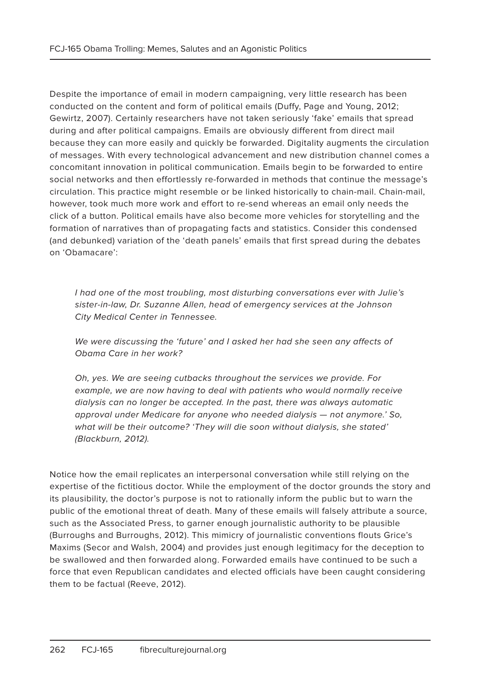Despite the importance of email in modern campaigning, very little research has been conducted on the content and form of political emails (Duffy, Page and Young, 2012; Gewirtz, 2007). Certainly researchers have not taken seriously 'fake' emails that spread during and after political campaigns. Emails are obviously different from direct mail because they can more easily and quickly be forwarded. Digitality augments the circulation of messages. With every technological advancement and new distribution channel comes a concomitant innovation in political communication. Emails begin to be forwarded to entire social networks and then effortlessly re-forwarded in methods that continue the message's circulation. This practice might resemble or be linked historically to chain-mail. Chain-mail, however, took much more work and effort to re-send whereas an email only needs the click of a button. Political emails have also become more vehicles for storytelling and the formation of narratives than of propagating facts and statistics. Consider this condensed (and debunked) variation of the 'death panels' emails that first spread during the debates on 'Obamacare':

I had one of the most troubling, most disturbing conversations ever with Julie's sister-in-law, Dr. Suzanne Allen, head of emergency services at the Johnson City Medical Center in Tennessee.

We were discussing the 'future' and I asked her had she seen any affects of Obama Care in her work?

Oh, yes. We are seeing cutbacks throughout the services we provide. For example, we are now having to deal with patients who would normally receive dialysis can no longer be accepted. In the past, there was always automatic approval under Medicare for anyone who needed dialysis — not anymore.' So, what will be their outcome? 'They will die soon without dialysis, she stated' (Blackburn, 2012).

Notice how the email replicates an interpersonal conversation while still relying on the expertise of the fictitious doctor. While the employment of the doctor grounds the story and its plausibility, the doctor's purpose is not to rationally inform the public but to warn the public of the emotional threat of death. Many of these emails will falsely attribute a source, such as the Associated Press, to garner enough journalistic authority to be plausible (Burroughs and Burroughs, 2012). This mimicry of journalistic conventions flouts Grice's Maxims (Secor and Walsh, 2004) and provides just enough legitimacy for the deception to be swallowed and then forwarded along. Forwarded emails have continued to be such a force that even Republican candidates and elected officials have been caught considering them to be factual (Reeve, 2012).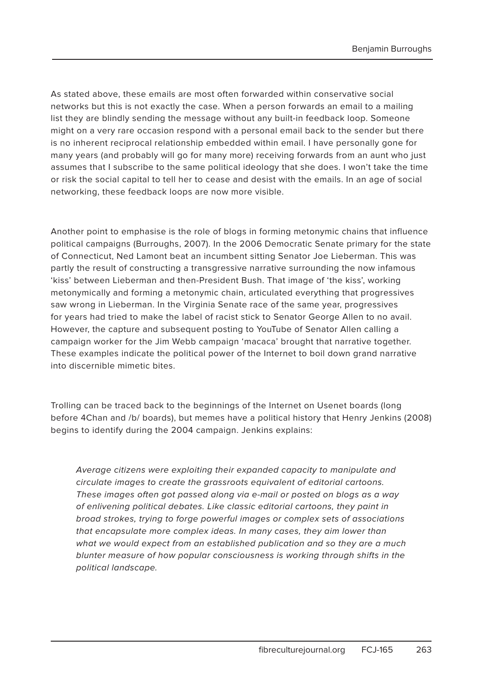As stated above, these emails are most often forwarded within conservative social networks but this is not exactly the case. When a person forwards an email to a mailing list they are blindly sending the message without any built-in feedback loop. Someone might on a very rare occasion respond with a personal email back to the sender but there is no inherent reciprocal relationship embedded within email. I have personally gone for many years (and probably will go for many more) receiving forwards from an aunt who just assumes that I subscribe to the same political ideology that she does. I won't take the time or risk the social capital to tell her to cease and desist with the emails. In an age of social networking, these feedback loops are now more visible.

Another point to emphasise is the role of blogs in forming metonymic chains that influence political campaigns (Burroughs, 2007). In the 2006 Democratic Senate primary for the state of Connecticut, Ned Lamont beat an incumbent sitting Senator Joe Lieberman. This was partly the result of constructing a transgressive narrative surrounding the now infamous 'kiss' between Lieberman and then-President Bush. That image of 'the kiss', working metonymically and forming a metonymic chain, articulated everything that progressives saw wrong in Lieberman. In the Virginia Senate race of the same year, progressives for years had tried to make the label of racist stick to Senator George Allen to no avail. However, the capture and subsequent posting to YouTube of Senator Allen calling a campaign worker for the Jim Webb campaign 'macaca' brought that narrative together. These examples indicate the political power of the Internet to boil down grand narrative into discernible mimetic bites.

Trolling can be traced back to the beginnings of the Internet on Usenet boards (long before 4Chan and /b/ boards), but memes have a political history that Henry Jenkins (2008) begins to identify during the 2004 campaign. Jenkins explains:

Average citizens were exploiting their expanded capacity to manipulate and circulate images to create the grassroots equivalent of editorial cartoons. These images often got passed along via e-mail or posted on blogs as a way of enlivening political debates. Like classic editorial cartoons, they paint in broad strokes, trying to forge powerful images or complex sets of associations that encapsulate more complex ideas. In many cases, they aim lower than what we would expect from an established publication and so they are a much blunter measure of how popular consciousness is working through shifts in the political landscape.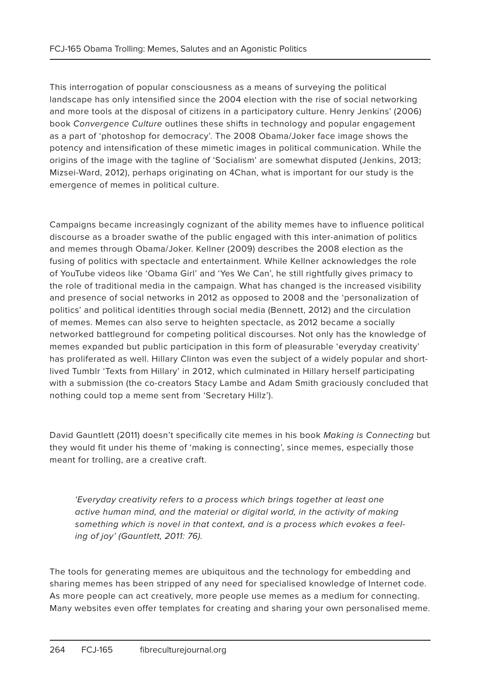This interrogation of popular consciousness as a means of surveying the political landscape has only intensified since the 2004 election with the rise of social networking and more tools at the disposal of citizens in a participatory culture. Henry Jenkins' (2006) book Convergence Culture outlines these shifts in technology and popular engagement as a part of 'photoshop for democracy'. The 2008 Obama/Joker face image shows the potency and intensification of these mimetic images in political communication. While the origins of the image with the tagline of 'Socialism' are somewhat disputed (Jenkins, 2013; Mizsei-Ward, 2012), perhaps originating on 4Chan, what is important for our study is the emergence of memes in political culture.

Campaigns became increasingly cognizant of the ability memes have to influence political discourse as a broader swathe of the public engaged with this inter-animation of politics and memes through Obama/Joker. Kellner (2009) describes the 2008 election as the fusing of politics with spectacle and entertainment. While Kellner acknowledges the role of YouTube videos like 'Obama Girl' and 'Yes We Can', he still rightfully gives primacy to the role of traditional media in the campaign. What has changed is the increased visibility and presence of social networks in 2012 as opposed to 2008 and the 'personalization of politics' and political identities through social media (Bennett, 2012) and the circulation of memes. Memes can also serve to heighten spectacle, as 2012 became a socially networked battleground for competing political discourses. Not only has the knowledge of memes expanded but public participation in this form of pleasurable 'everyday creativity' has proliferated as well. Hillary Clinton was even the subject of a widely popular and shortlived Tumblr 'Texts from Hillary' in 2012, which culminated in Hillary herself participating with a submission (the co-creators Stacy Lambe and Adam Smith graciously concluded that nothing could top a meme sent from 'Secretary Hillz').

David Gauntlett (2011) doesn't specifically cite memes in his book Making is Connecting but they would fit under his theme of 'making is connecting', since memes, especially those meant for trolling, are a creative craft.

'Everyday creativity refers to a process which brings together at least one active human mind, and the material or digital world, in the activity of making something which is novel in that context, and is a process which evokes a feeling of joy' (Gauntlett, 2011: 76).

The tools for generating memes are ubiquitous and the technology for embedding and sharing memes has been stripped of any need for specialised knowledge of Internet code. As more people can act creatively, more people use memes as a medium for connecting. Many websites even offer templates for creating and sharing your own personalised meme.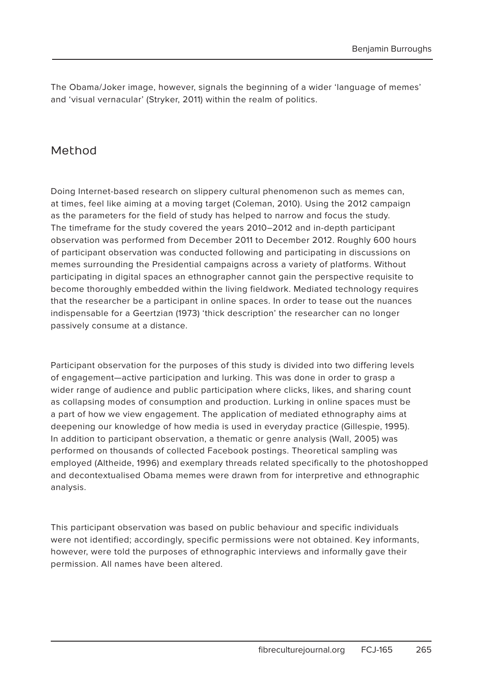The Obama/Joker image, however, signals the beginning of a wider 'language of memes' and 'visual vernacular' (Stryker, 2011) within the realm of politics.

### Method

Doing Internet-based research on slippery cultural phenomenon such as memes can, at times, feel like aiming at a moving target (Coleman, 2010). Using the 2012 campaign as the parameters for the field of study has helped to narrow and focus the study. The timeframe for the study covered the years 2010–2012 and in-depth participant observation was performed from December 2011 to December 2012. Roughly 600 hours of participant observation was conducted following and participating in discussions on memes surrounding the Presidential campaigns across a variety of platforms. Without participating in digital spaces an ethnographer cannot gain the perspective requisite to become thoroughly embedded within the living fieldwork. Mediated technology requires that the researcher be a participant in online spaces. In order to tease out the nuances indispensable for a Geertzian (1973) 'thick description' the researcher can no longer passively consume at a distance.

Participant observation for the purposes of this study is divided into two differing levels of engagement—active participation and lurking. This was done in order to grasp a wider range of audience and public participation where clicks, likes, and sharing count as collapsing modes of consumption and production. Lurking in online spaces must be a part of how we view engagement. The application of mediated ethnography aims at deepening our knowledge of how media is used in everyday practice (Gillespie, 1995). In addition to participant observation, a thematic or genre analysis (Wall, 2005) was performed on thousands of collected Facebook postings. Theoretical sampling was employed (Altheide, 1996) and exemplary threads related specifically to the photoshopped and decontextualised Obama memes were drawn from for interpretive and ethnographic analysis.

This participant observation was based on public behaviour and specific individuals were not identified; accordingly, specific permissions were not obtained. Key informants, however, were told the purposes of ethnographic interviews and informally gave their permission. All names have been altered.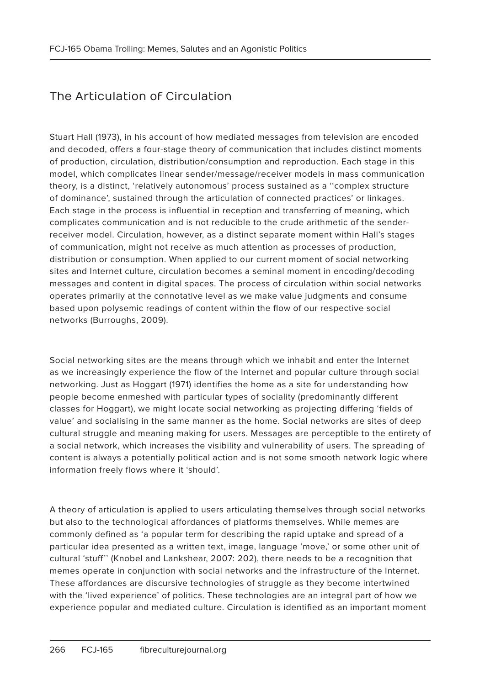# The Articulation of Circulation

Stuart Hall (1973), in his account of how mediated messages from television are encoded and decoded, offers a four-stage theory of communication that includes distinct moments of production, circulation, distribution/consumption and reproduction. Each stage in this model, which complicates linear sender/message/receiver models in mass communication theory, is a distinct, 'relatively autonomous' process sustained as a ''complex structure of dominance', sustained through the articulation of connected practices' or linkages. Each stage in the process is influential in reception and transferring of meaning, which complicates communication and is not reducible to the crude arithmetic of the senderreceiver model. Circulation, however, as a distinct separate moment within Hall's stages of communication, might not receive as much attention as processes of production, distribution or consumption. When applied to our current moment of social networking sites and Internet culture, circulation becomes a seminal moment in encoding/decoding messages and content in digital spaces. The process of circulation within social networks operates primarily at the connotative level as we make value judgments and consume based upon polysemic readings of content within the flow of our respective social networks (Burroughs, 2009).

Social networking sites are the means through which we inhabit and enter the Internet as we increasingly experience the flow of the Internet and popular culture through social networking. Just as Hoggart (1971) identifies the home as a site for understanding how people become enmeshed with particular types of sociality (predominantly different classes for Hoggart), we might locate social networking as projecting differing 'fields of value' and socialising in the same manner as the home. Social networks are sites of deep cultural struggle and meaning making for users. Messages are perceptible to the entirety of a social network, which increases the visibility and vulnerability of users. The spreading of content is always a potentially political action and is not some smooth network logic where information freely flows where it 'should'.

A theory of articulation is applied to users articulating themselves through social networks but also to the technological affordances of platforms themselves. While memes are commonly defined as 'a popular term for describing the rapid uptake and spread of a particular idea presented as a written text, image, language 'move,' or some other unit of cultural 'stuff'' (Knobel and Lankshear, 2007: 202), there needs to be a recognition that memes operate in conjunction with social networks and the infrastructure of the Internet. These affordances are discursive technologies of struggle as they become intertwined with the 'lived experience' of politics. These technologies are an integral part of how we experience popular and mediated culture. Circulation is identified as an important moment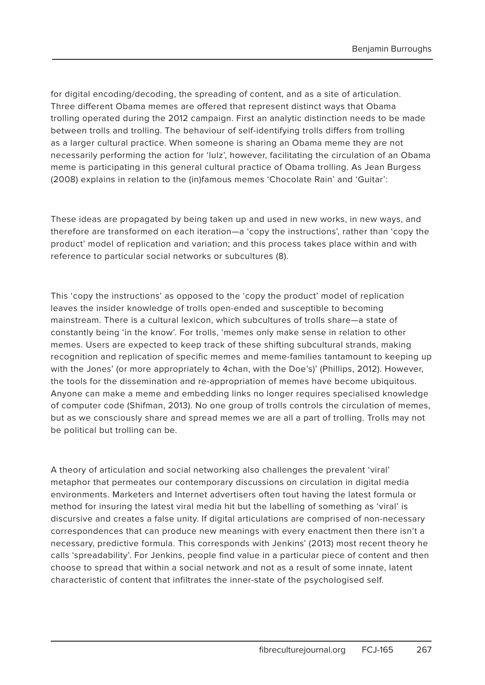for digital encoding/decoding, the spreading of content, and as a site of articulation. Three different Obama memes are offered that represent distinct ways that Obama trolling operated during the 2012 campaign. First an analytic distinction needs to be made between trolls and trolling. The behaviour of self-identifying trolls differs from trolling as a larger cultural practice. When someone is sharing an Obama meme they are not necessarily performing the action for 'lulz', however, facilitating the circulation of an Obama meme is participating in this general cultural practice of Obama trolling. As Jean Burgess (2008) explains in relation to the (in)famous memes 'Chocolate Rain' and 'Guitar':

These ideas are propagated by being taken up and used in new works, in new ways, and therefore are transformed on each iteration—a 'copy the instructions', rather than 'copy the product' model of replication and variation; and this process takes place within and with reference to particular social networks or subcultures (8).

This 'copy the instructions' as opposed to the 'copy the product' model of replication leaves the insider knowledge of trolls open-ended and susceptible to becoming mainstream. There is a cultural lexicon, which subcultures of trolls share—a state of constantly being 'in the know'. For trolls, 'memes only make sense in relation to other memes. Users are expected to keep track of these shifting subcultural strands, making recognition and replication of specific memes and meme-families tantamount to keeping up with the Jones' (or more appropriately to 4chan, with the Doe's)' (Phillips, 2012). However, the tools for the dissemination and re-appropriation of memes have become ubiquitous. Anyone can make a meme and embedding links no longer requires specialised knowledge of computer code (Shifman, 2013). No one group of trolls controls the circulation of memes, but as we consciously share and spread memes we are all a part of trolling. Trolls may not be political but trolling can be.

A theory of articulation and social networking also challenges the prevalent 'viral' metaphor that permeates our contemporary discussions on circulation in digital media environments. Marketers and Internet advertisers often tout having the latest formula or method for insuring the latest viral media hit but the labelling of something as 'viral' is discursive and creates a false unity. If digital articulations are comprised of non-necessary correspondences that can produce new meanings with every enactment then there isn't a necessary, predictive formula. This corresponds with Jenkins' (2013) most recent theory he calls 'spreadability'. For Jenkins, people find value in a particular piece of content and then choose to spread that within a social network and not as a result of some innate, latent characteristic of content that infiltrates the inner-state of the psychologised self.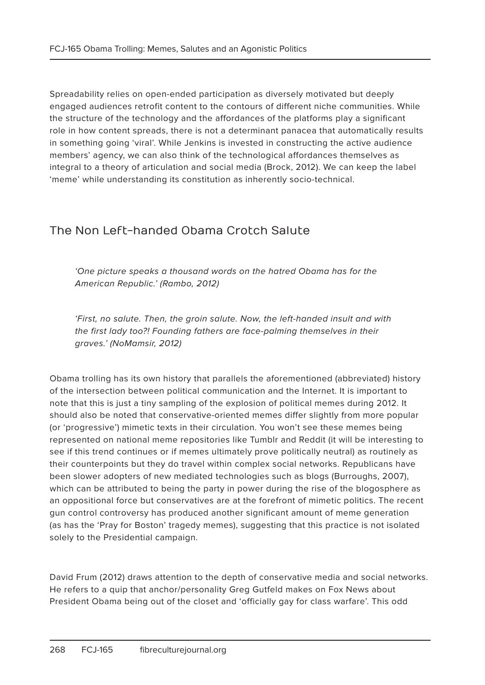Spreadability relies on open-ended participation as diversely motivated but deeply engaged audiences retrofit content to the contours of different niche communities. While the structure of the technology and the affordances of the platforms play a significant role in how content spreads, there is not a determinant panacea that automatically results in something going 'viral'. While Jenkins is invested in constructing the active audience members' agency, we can also think of the technological affordances themselves as integral to a theory of articulation and social media (Brock, 2012). We can keep the label 'meme' while understanding its constitution as inherently socio-technical.

## The Non Left-handed Obama Crotch Salute

'One picture speaks a thousand words on the hatred Obama has for the American Republic.' (Rambo, 2012)

'First, no salute. Then, the groin salute. Now, the left-handed insult and with the first lady too?! Founding fathers are face-palming themselves in their graves.' (NoMamsir, 2012)

Obama trolling has its own history that parallels the aforementioned (abbreviated) history of the intersection between political communication and the Internet. It is important to note that this is just a tiny sampling of the explosion of political memes during 2012. It should also be noted that conservative-oriented memes differ slightly from more popular (or 'progressive') mimetic texts in their circulation. You won't see these memes being represented on national meme repositories like Tumblr and Reddit (it will be interesting to see if this trend continues or if memes ultimately prove politically neutral) as routinely as their counterpoints but they do travel within complex social networks. Republicans have been slower adopters of new mediated technologies such as blogs (Burroughs, 2007), which can be attributed to being the party in power during the rise of the blogosphere as an oppositional force but conservatives are at the forefront of mimetic politics. The recent gun control controversy has produced another significant amount of meme generation (as has the 'Pray for Boston' tragedy memes), suggesting that this practice is not isolated solely to the Presidential campaign.

David Frum (2012) draws attention to the depth of conservative media and social networks. He refers to a quip that anchor/personality Greg Gutfeld makes on Fox News about President Obama being out of the closet and 'officially gay for class warfare'. This odd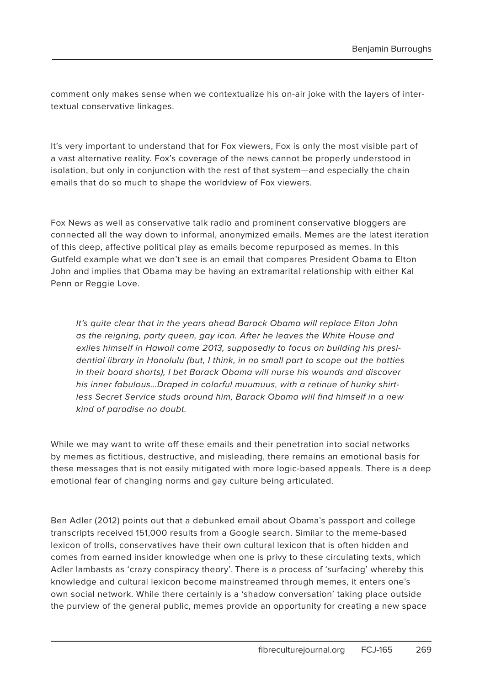comment only makes sense when we contextualize his on-air joke with the layers of intertextual conservative linkages.

It's very important to understand that for Fox viewers, Fox is only the most visible part of a vast alternative reality. Fox's coverage of the news cannot be properly understood in isolation, but only in conjunction with the rest of that system—and especially the chain emails that do so much to shape the worldview of Fox viewers.

Fox News as well as conservative talk radio and prominent conservative bloggers are connected all the way down to informal, anonymized emails. Memes are the latest iteration of this deep, affective political play as emails become repurposed as memes. In this Gutfeld example what we don't see is an email that compares President Obama to Elton John and implies that Obama may be having an extramarital relationship with either Kal Penn or Reggie Love.

It's quite clear that in the years ahead Barack Obama will replace Elton John as the reigning, party queen, gay icon. After he leaves the White House and exiles himself in Hawaii come 2013, supposedly to focus on building his presidential library in Honolulu (but, I think, in no small part to scope out the hotties in their board shorts), I bet Barack Obama will nurse his wounds and discover his inner fabulous…Draped in colorful muumuus, with a retinue of hunky shirtless Secret Service studs around him, Barack Obama will find himself in a new kind of paradise no doubt.

While we may want to write off these emails and their penetration into social networks by memes as fictitious, destructive, and misleading, there remains an emotional basis for these messages that is not easily mitigated with more logic-based appeals. There is a deep emotional fear of changing norms and gay culture being articulated.

Ben Adler (2012) points out that a debunked email about Obama's passport and college transcripts received 151,000 results from a Google search. Similar to the meme-based lexicon of trolls, conservatives have their own cultural lexicon that is often hidden and comes from earned insider knowledge when one is privy to these circulating texts, which Adler lambasts as 'crazy conspiracy theory'. There is a process of 'surfacing' whereby this knowledge and cultural lexicon become mainstreamed through memes, it enters one's own social network. While there certainly is a 'shadow conversation' taking place outside the purview of the general public, memes provide an opportunity for creating a new space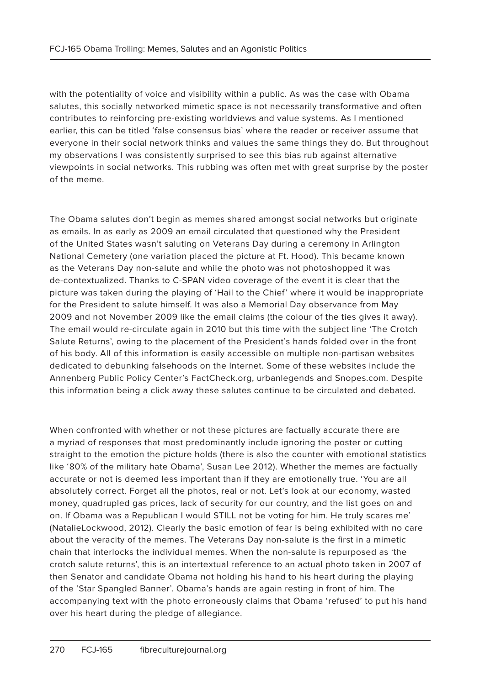with the potentiality of voice and visibility within a public. As was the case with Obama salutes, this socially networked mimetic space is not necessarily transformative and often contributes to reinforcing pre-existing worldviews and value systems. As I mentioned earlier, this can be titled 'false consensus bias' where the reader or receiver assume that everyone in their social network thinks and values the same things they do. But throughout my observations I was consistently surprised to see this bias rub against alternative viewpoints in social networks. This rubbing was often met with great surprise by the poster of the meme.

The Obama salutes don't begin as memes shared amongst social networks but originate as emails. In as early as 2009 an email circulated that questioned why the President of the United States wasn't saluting on Veterans Day during a ceremony in Arlington National Cemetery (one variation placed the picture at Ft. Hood). This became known as the Veterans Day non-salute and while the photo was not photoshopped it was de-contextualized. Thanks to C-SPAN video coverage of the event it is clear that the picture was taken during the playing of 'Hail to the Chief' where it would be inappropriate for the President to salute himself. It was also a Memorial Day observance from May 2009 and not November 2009 like the email claims (the colour of the ties gives it away). The email would re-circulate again in 2010 but this time with the subject line 'The Crotch Salute Returns', owing to the placement of the President's hands folded over in the front of his body. All of this information is easily accessible on multiple non-partisan websites dedicated to debunking falsehoods on the Internet. Some of these websites include the Annenberg Public Policy Center's FactCheck.org, urbanlegends and Snopes.com. Despite this information being a click away these salutes continue to be circulated and debated.

When confronted with whether or not these pictures are factually accurate there are a myriad of responses that most predominantly include ignoring the poster or cutting straight to the emotion the picture holds (there is also the counter with emotional statistics like '80% of the military hate Obama', Susan Lee 2012). Whether the memes are factually accurate or not is deemed less important than if they are emotionally true. 'You are all absolutely correct. Forget all the photos, real or not. Let's look at our economy, wasted money, quadrupled gas prices, lack of security for our country, and the list goes on and on. If Obama was a Republican I would STILL not be voting for him. He truly scares me' (NatalieLockwood, 2012). Clearly the basic emotion of fear is being exhibited with no care about the veracity of the memes. The Veterans Day non-salute is the first in a mimetic chain that interlocks the individual memes. When the non-salute is repurposed as 'the crotch salute returns', this is an intertextual reference to an actual photo taken in 2007 of then Senator and candidate Obama not holding his hand to his heart during the playing of the 'Star Spangled Banner'. Obama's hands are again resting in front of him. The accompanying text with the photo erroneously claims that Obama 'refused' to put his hand over his heart during the pledge of allegiance.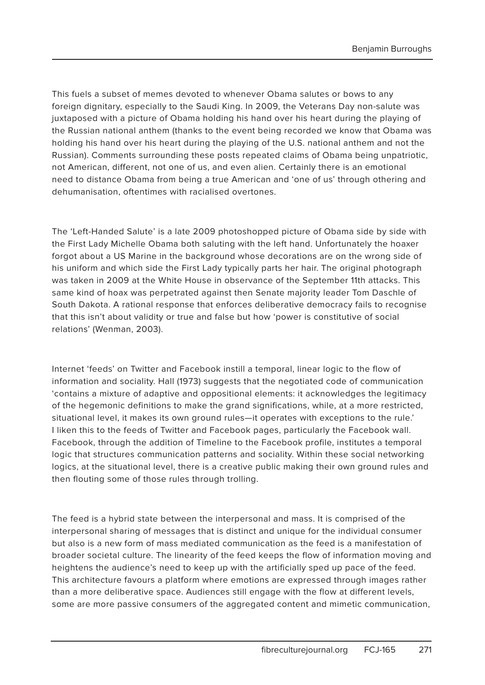This fuels a subset of memes devoted to whenever Obama salutes or bows to any foreign dignitary, especially to the Saudi King. In 2009, the Veterans Day non-salute was juxtaposed with a picture of Obama holding his hand over his heart during the playing of the Russian national anthem (thanks to the event being recorded we know that Obama was holding his hand over his heart during the playing of the U.S. national anthem and not the Russian). Comments surrounding these posts repeated claims of Obama being unpatriotic, not American, different, not one of us, and even alien. Certainly there is an emotional need to distance Obama from being a true American and 'one of us' through othering and dehumanisation, oftentimes with racialised overtones.

The 'Left-Handed Salute' is a late 2009 photoshopped picture of Obama side by side with the First Lady Michelle Obama both saluting with the left hand. Unfortunately the hoaxer forgot about a US Marine in the background whose decorations are on the wrong side of his uniform and which side the First Lady typically parts her hair. The original photograph was taken in 2009 at the White House in observance of the September 11th attacks. This same kind of hoax was perpetrated against then Senate majority leader Tom Daschle of South Dakota. A rational response that enforces deliberative democracy fails to recognise that this isn't about validity or true and false but how 'power is constitutive of social relations' (Wenman, 2003).

Internet 'feeds' on Twitter and Facebook instill a temporal, linear logic to the flow of information and sociality. Hall (1973) suggests that the negotiated code of communication 'contains a mixture of adaptive and oppositional elements: it acknowledges the legitimacy of the hegemonic definitions to make the grand significations, while, at a more restricted, situational level, it makes its own ground rules—it operates with exceptions to the rule.' I liken this to the feeds of Twitter and Facebook pages, particularly the Facebook wall. Facebook, through the addition of Timeline to the Facebook profile, institutes a temporal logic that structures communication patterns and sociality. Within these social networking logics, at the situational level, there is a creative public making their own ground rules and then flouting some of those rules through trolling.

The feed is a hybrid state between the interpersonal and mass. It is comprised of the interpersonal sharing of messages that is distinct and unique for the individual consumer but also is a new form of mass mediated communication as the feed is a manifestation of broader societal culture. The linearity of the feed keeps the flow of information moving and heightens the audience's need to keep up with the artificially sped up pace of the feed. This architecture favours a platform where emotions are expressed through images rather than a more deliberative space. Audiences still engage with the flow at different levels, some are more passive consumers of the aggregated content and mimetic communication,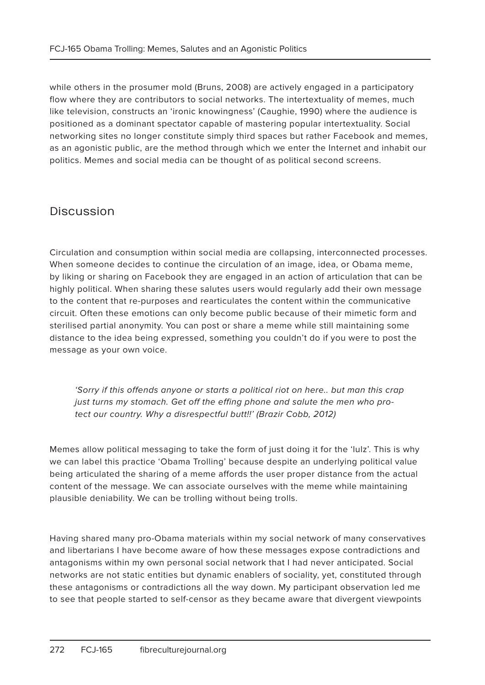while others in the prosumer mold (Bruns, 2008) are actively engaged in a participatory flow where they are contributors to social networks. The intertextuality of memes, much like television, constructs an 'ironic knowingness' (Caughie, 1990) where the audience is positioned as a dominant spectator capable of mastering popular intertextuality. Social networking sites no longer constitute simply third spaces but rather Facebook and memes, as an agonistic public, are the method through which we enter the Internet and inhabit our politics. Memes and social media can be thought of as political second screens.

#### Discussion

Circulation and consumption within social media are collapsing, interconnected processes. When someone decides to continue the circulation of an image, idea, or Obama meme, by liking or sharing on Facebook they are engaged in an action of articulation that can be highly political. When sharing these salutes users would regularly add their own message to the content that re-purposes and rearticulates the content within the communicative circuit. Often these emotions can only become public because of their mimetic form and sterilised partial anonymity. You can post or share a meme while still maintaining some distance to the idea being expressed, something you couldn't do if you were to post the message as your own voice.

'Sorry if this offends anyone or starts a political riot on here.. but man this crap just turns my stomach. Get off the effing phone and salute the men who protect our country. Why a disrespectful butt!!' (Brazir Cobb, 2012)

Memes allow political messaging to take the form of just doing it for the 'lulz'. This is why we can label this practice 'Obama Trolling' because despite an underlying political value being articulated the sharing of a meme affords the user proper distance from the actual content of the message. We can associate ourselves with the meme while maintaining plausible deniability. We can be trolling without being trolls.

Having shared many pro-Obama materials within my social network of many conservatives and libertarians I have become aware of how these messages expose contradictions and antagonisms within my own personal social network that I had never anticipated. Social networks are not static entities but dynamic enablers of sociality, yet, constituted through these antagonisms or contradictions all the way down. My participant observation led me to see that people started to self-censor as they became aware that divergent viewpoints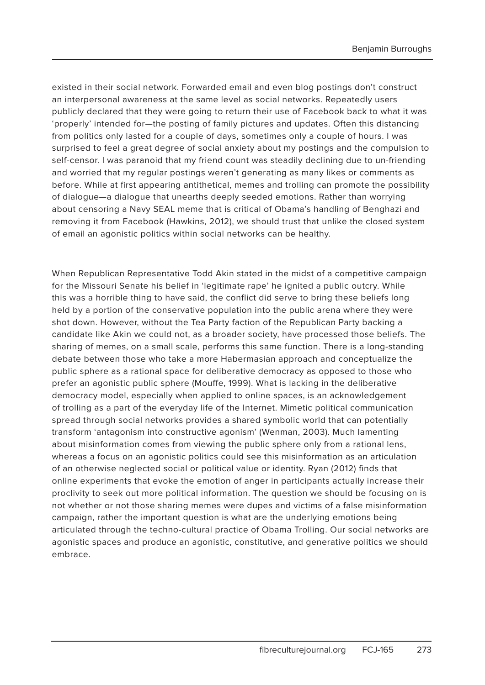existed in their social network. Forwarded email and even blog postings don't construct an interpersonal awareness at the same level as social networks. Repeatedly users publicly declared that they were going to return their use of Facebook back to what it was 'properly' intended for—the posting of family pictures and updates. Often this distancing from politics only lasted for a couple of days, sometimes only a couple of hours. I was surprised to feel a great degree of social anxiety about my postings and the compulsion to self-censor. I was paranoid that my friend count was steadily declining due to un-friending and worried that my regular postings weren't generating as many likes or comments as before. While at first appearing antithetical, memes and trolling can promote the possibility of dialogue—a dialogue that unearths deeply seeded emotions. Rather than worrying about censoring a Navy SEAL meme that is critical of Obama's handling of Benghazi and removing it from Facebook (Hawkins, 2012), we should trust that unlike the closed system of email an agonistic politics within social networks can be healthy.

When Republican Representative Todd Akin stated in the midst of a competitive campaign for the Missouri Senate his belief in 'legitimate rape' he ignited a public outcry. While this was a horrible thing to have said, the conflict did serve to bring these beliefs long held by a portion of the conservative population into the public arena where they were shot down. However, without the Tea Party faction of the Republican Party backing a candidate like Akin we could not, as a broader society, have processed those beliefs. The sharing of memes, on a small scale, performs this same function. There is a long-standing debate between those who take a more Habermasian approach and conceptualize the public sphere as a rational space for deliberative democracy as opposed to those who prefer an agonistic public sphere (Mouffe, 1999). What is lacking in the deliberative democracy model, especially when applied to online spaces, is an acknowledgement of trolling as a part of the everyday life of the Internet. Mimetic political communication spread through social networks provides a shared symbolic world that can potentially transform 'antagonism into constructive agonism' (Wenman, 2003). Much lamenting about misinformation comes from viewing the public sphere only from a rational lens, whereas a focus on an agonistic politics could see this misinformation as an articulation of an otherwise neglected social or political value or identity. Ryan (2012) finds that online experiments that evoke the emotion of anger in participants actually increase their proclivity to seek out more political information. The question we should be focusing on is not whether or not those sharing memes were dupes and victims of a false misinformation campaign, rather the important question is what are the underlying emotions being articulated through the techno-cultural practice of Obama Trolling. Our social networks are agonistic spaces and produce an agonistic, constitutive, and generative politics we should embrace.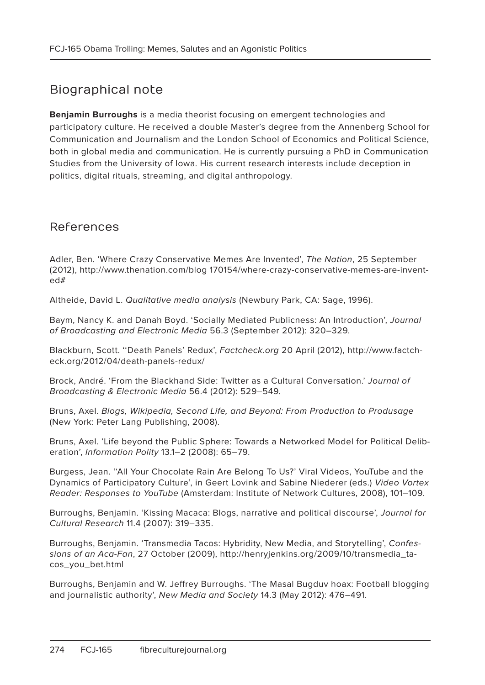# Biographical note

**Benjamin Burroughs** is a media theorist focusing on emergent technologies and participatory culture. He received a double Master's degree from the Annenberg School for Communication and Journalism and the London School of Economics and Political Science, both in global media and communication. He is currently pursuing a PhD in Communication Studies from the University of Iowa. His current research interests include deception in politics, digital rituals, streaming, and digital anthropology.

#### References

Adler, Ben. 'Where Crazy Conservative Memes Are Invented', The Nation, 25 September (2012), http://www.thenation.com/blog 170154/where-crazy-conservative-memes-are-invented#

Altheide, David L. Qualitative media analysis (Newbury Park, CA: Sage, 1996).

Baym, Nancy K. and Danah Boyd. 'Socially Mediated Publicness: An Introduction', Journal of Broadcasting and Electronic Media 56.3 (September 2012): 320–329.

Blackburn, Scott. ''Death Panels' Redux', Factcheck.org 20 April (2012), http://www.factcheck.org/2012/04/death-panels-redux/

Brock, André. 'From the Blackhand Side: Twitter as a Cultural Conversation.' Journal of Broadcasting & Electronic Media 56.4 (2012): 529–549.

Bruns, Axel. Blogs, Wikipedia, Second Life, and Beyond: From Production to Produsage (New York: Peter Lang Publishing, 2008).

Bruns, Axel. 'Life beyond the Public Sphere: Towards a Networked Model for Political Deliberation', Information Polity 13.1–2 (2008): 65–79.

Burgess, Jean. ''All Your Chocolate Rain Are Belong To Us?' Viral Videos, YouTube and the Dynamics of Participatory Culture', in Geert Lovink and Sabine Niederer (eds.) Video Vortex Reader: Responses to YouTube (Amsterdam: Institute of Network Cultures, 2008), 101–109.

Burroughs, Benjamin. 'Kissing Macaca: Blogs, narrative and political discourse', Journal for Cultural Research 11.4 (2007): 319–335.

Burroughs, Benjamin. 'Transmedia Tacos: Hybridity, New Media, and Storytelling', Confessions of an Aca-Fan, 27 October (2009), http://henryjenkins.org/2009/10/transmedia\_tacos\_you\_bet.html

Burroughs, Benjamin and W. Jeffrey Burroughs. 'The Masal Bugduv hoax: Football blogging and journalistic authority', New Media and Society 14.3 (May 2012): 476–491.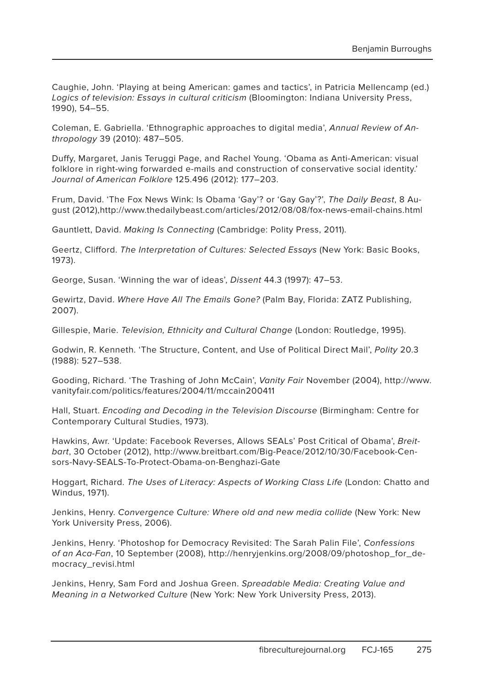Caughie, John. 'Playing at being American: games and tactics', in Patricia Mellencamp (ed.) Logics of television: Essays in cultural criticism (Bloomington: Indiana University Press, 1990), 54–55.

Coleman, E. Gabriella. 'Ethnographic approaches to digital media', Annual Review of Anthropology 39 (2010): 487–505.

Duffy, Margaret, Janis Teruggi Page, and Rachel Young. 'Obama as Anti-American: visual folklore in right-wing forwarded e-mails and construction of conservative social identity.' Journal of American Folklore 125.496 (2012): 177–203.

Frum, David. 'The Fox News Wink: Is Obama 'Gay'? or 'Gay Gay'?', The Daily Beast, 8 August (2012),http://www.thedailybeast.com/articles/2012/08/08/fox-news-email-chains.html

Gauntlett, David. Making Is Connecting (Cambridge: Polity Press, 2011).

Geertz, Clifford. The Interpretation of Cultures: Selected Essays (New York: Basic Books, 1973).

George, Susan. 'Winning the war of ideas', Dissent 44.3 (1997): 47–53.

Gewirtz, David. Where Have All The Emails Gone? (Palm Bay, Florida: ZATZ Publishing, 2007).

Gillespie, Marie. Television, Ethnicity and Cultural Change (London: Routledge, 1995).

Godwin, R. Kenneth. 'The Structure, Content, and Use of Political Direct Mail', Polity 20.3 (1988): 527–538.

Gooding, Richard. 'The Trashing of John McCain', Vanity Fair November (2004), http://www. vanityfair.com/politics/features/2004/11/mccain200411

Hall, Stuart. Encoding and Decoding in the Television Discourse (Birmingham: Centre for Contemporary Cultural Studies, 1973).

Hawkins, Awr. 'Update: Facebook Reverses, Allows SEALs' Post Critical of Obama', Breitbart, 30 October (2012), http://www.breitbart.com/Big-Peace/2012/10/30/Facebook-Censors-Navy-SEALS-To-Protect-Obama-on-Benghazi-Gate

Hoggart, Richard. The Uses of Literacy: Aspects of Working Class Life (London: Chatto and Windus, 1971).

Jenkins, Henry. Convergence Culture: Where old and new media collide (New York: New York University Press, 2006).

Jenkins, Henry. 'Photoshop for Democracy Revisited: The Sarah Palin File', Confessions of an Aca-Fan, 10 September (2008), http://henryjenkins.org/2008/09/photoshop\_for\_democracy\_revisi.html

Jenkins, Henry, Sam Ford and Joshua Green. Spreadable Media: Creating Value and Meaning in a Networked Culture (New York: New York University Press, 2013).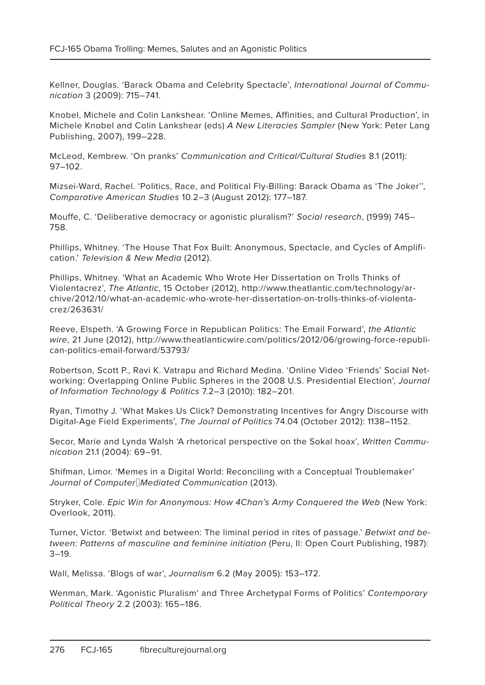Kellner, Douglas. 'Barack Obama and Celebrity Spectacle', International Journal of Communication 3 (2009): 715–741.

Knobel, Michele and Colin Lankshear. 'Online Memes, Affinities, and Cultural Production', in Michele Knobel and Colin Lankshear (eds) A New Literacies Sampler (New York: Peter Lang Publishing, 2007), 199–228.

McLeod, Kembrew. 'On pranks' Communication and Critical/Cultural Studies 8.1 (2011): 97–102.

Mizsei-Ward, Rachel. 'Politics, Race, and Political Fly-Billing: Barack Obama as 'The Joker'', Comparative American Studies 10.2–3 (August 2012): 177–187.

Mouffe, C. 'Deliberative democracy or agonistic pluralism?' Social research, (1999) 745– 758.

Phillips, Whitney. 'The House That Fox Built: Anonymous, Spectacle, and Cycles of Amplification.' Television & New Media (2012).

Phillips, Whitney. 'What an Academic Who Wrote Her Dissertation on Trolls Thinks of Violentacrez', The Atlantic, 15 October (2012), http://www.theatlantic.com/technology/archive/2012/10/what-an-academic-who-wrote-her-dissertation-on-trolls-thinks-of-violentacrez/263631/

Reeve, Elspeth. 'A Growing Force in Republican Politics: The Email Forward', the Atlantic wire, 21 June (2012), http://www.theatlanticwire.com/politics/2012/06/growing-force-republican-politics-email-forward/53793/

Robertson, Scott P., Ravi K. Vatrapu and Richard Medina. 'Online Video 'Friends' Social Networking: Overlapping Online Public Spheres in the 2008 U.S. Presidential Election', Journal of Information Technology & Politics 7.2–3 (2010): 182–201.

Ryan, Timothy J. 'What Makes Us Click? Demonstrating Incentives for Angry Discourse with Digital-Age Field Experiments', The Journal of Politics 74.04 (October 2012): 1138–1152.

Secor, Marie and Lynda Walsh 'A rhetorical perspective on the Sokal hoax', Written Communication 21.1 (2004): 69–91.

Shifman, Limor. 'Memes in a Digital World: Reconciling with a Conceptual Troublemaker' Journal of Computer Mediated Communication (2013).

Stryker, Cole. Epic Win for Anonymous: How 4Chan's Army Conquered the Web (New York: Overlook, 2011).

Turner, Victor. 'Betwixt and between: The liminal period in rites of passage.' Betwixt and between: Patterns of masculine and feminine initiation (Peru, Il: Open Court Publishing, 1987): 3–19.

Wall, Melissa. 'Blogs of war', Journalism 6.2 (May 2005): 153–172.

Wenman, Mark. 'Agonistic Pluralism' and Three Archetypal Forms of Politics' Contemporary Political Theory 2.2 (2003): 165–186.